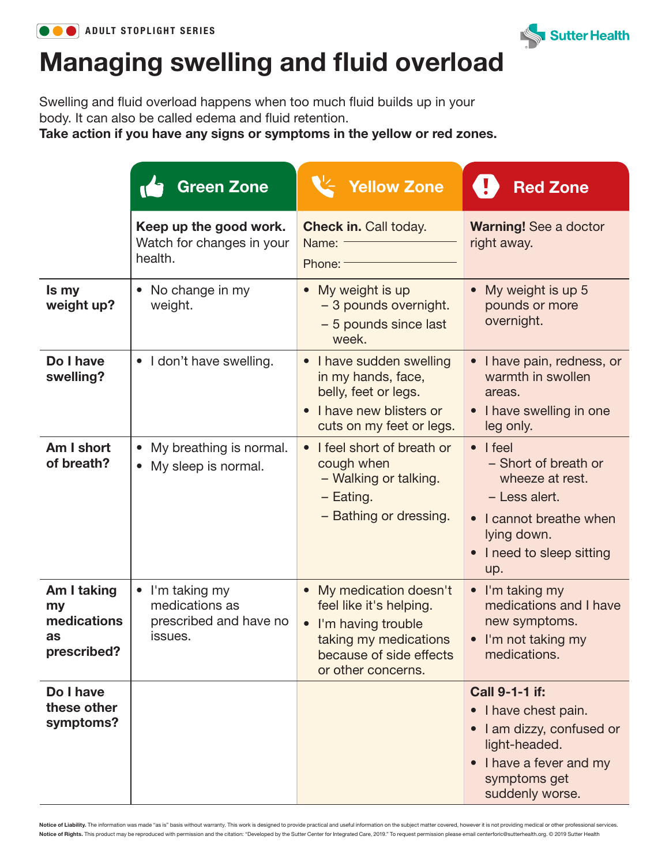



## Managing swelling and fluid overload

Swelling and fluid overload happens when too much fluid builds up in your body. It can also be called edema and fluid retention.

Take action if you have any signs or symptoms in the yellow or red zones.

|                                                       | Green Zone                                                                     | <b>Yellow Zone</b>                                                                                                                                   | <b>Red Zone</b>                                                                                                                                          |
|-------------------------------------------------------|--------------------------------------------------------------------------------|------------------------------------------------------------------------------------------------------------------------------------------------------|----------------------------------------------------------------------------------------------------------------------------------------------------------|
|                                                       | Keep up the good work.<br>Watch for changes in your<br>health.                 | <b>Check in. Call today.</b><br>Name:<br>Phone: -                                                                                                    | <b>Warning!</b> See a doctor<br>right away.                                                                                                              |
| Is my<br>weight up?                                   | • No change in my<br>weight.                                                   | • My weight is up<br>- 3 pounds overnight.<br>- 5 pounds since last<br>week.                                                                         | • My weight is up 5<br>pounds or more<br>overnight.                                                                                                      |
| Do I have<br>swelling?                                | • I don't have swelling.                                                       | • I have sudden swelling<br>in my hands, face,<br>belly, feet or legs.<br>I have new blisters or<br>cuts on my feet or legs.                         | I have pain, redness, or<br>warmth in swollen<br>areas.<br>• I have swelling in one<br>leg only.                                                         |
| Am I short<br>of breath?                              | • My breathing is normal.<br>• My sleep is normal.                             | • I feel short of breath or<br>cough when<br>- Walking or talking.<br>- Eating.<br>- Bathing or dressing.                                            | $\bullet$   feel<br>- Short of breath or<br>wheeze at rest.<br>- Less alert.<br>• I cannot breathe when<br>lying down.<br>I need to sleep sitting<br>up. |
| Am I taking<br>my<br>medications<br>as<br>prescribed? | $\bullet$ I'm taking my<br>medications as<br>prescribed and have no<br>issues. | • My medication doesn't<br>feel like it's helping.<br>• I'm having trouble<br>taking my medications<br>because of side effects<br>or other concerns. | $\bullet$ I'm taking my<br>medications and I have<br>new symptoms.<br>• I'm not taking my<br>medications.                                                |
| Do I have<br>these other<br>symptoms?                 |                                                                                |                                                                                                                                                      | <b>Call 9-1-1 if:</b><br>• I have chest pain.<br>I am dizzy, confused or<br>light-headed.<br>• I have a fever and my<br>symptoms get<br>suddenly worse.  |